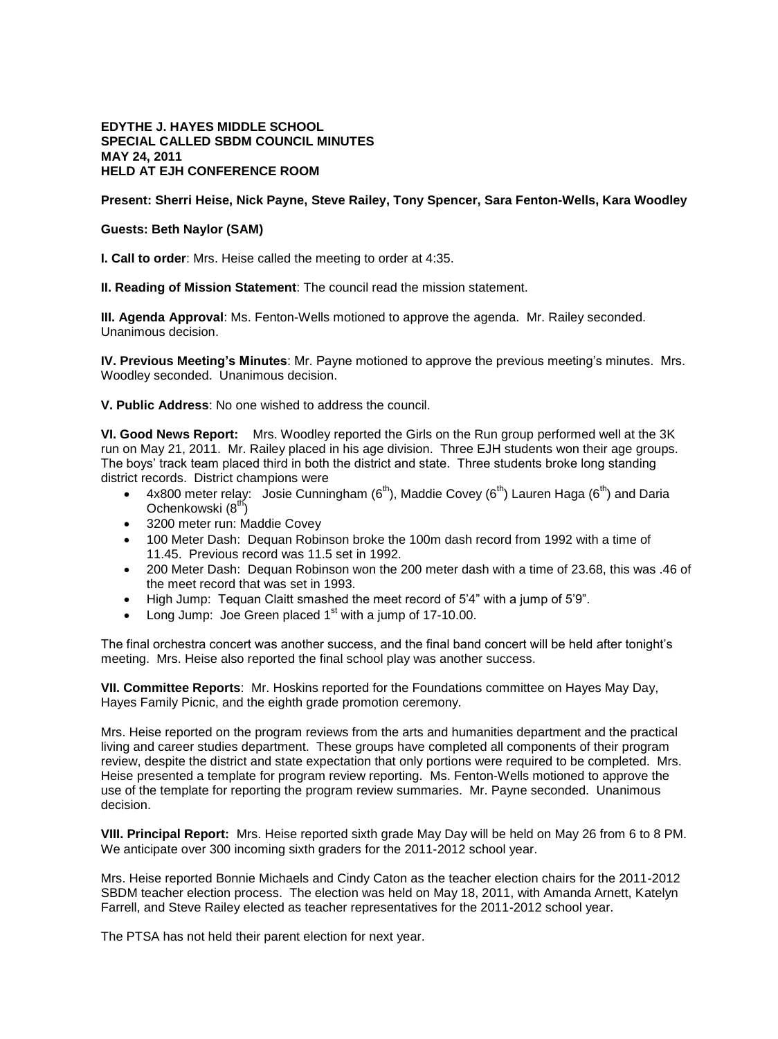## **EDYTHE J. HAYES MIDDLE SCHOOL SPECIAL CALLED SBDM COUNCIL MINUTES MAY 24, 2011 HELD AT EJH CONFERENCE ROOM**

## **Present: Sherri Heise, Nick Payne, Steve Railey, Tony Spencer, Sara Fenton-Wells, Kara Woodley**

## **Guests: Beth Naylor (SAM)**

**I. Call to order**: Mrs. Heise called the meeting to order at 4:35.

**II. Reading of Mission Statement**: The council read the mission statement.

**III. Agenda Approval**: Ms. Fenton-Wells motioned to approve the agenda. Mr. Railey seconded. Unanimous decision.

**IV. Previous Meeting's Minutes**: Mr. Payne motioned to approve the previous meeting's minutes. Mrs. Woodley seconded. Unanimous decision.

**V. Public Address**: No one wished to address the council.

**VI. Good News Report:** Mrs. Woodley reported the Girls on the Run group performed well at the 3K run on May 21, 2011. Mr. Railey placed in his age division. Three EJH students won their age groups. The boys' track team placed third in both the district and state. Three students broke long standing district records. District champions were

- 4x800 meter relay: Josie Cunningham  $(6<sup>th</sup>)$ , Maddie Covey  $(6<sup>th</sup>)$  Lauren Haga  $(6<sup>th</sup>)$  and Daria Ochenkowski (8<sup>th</sup>)
- 3200 meter run: Maddie Covey
- 100 Meter Dash: Dequan Robinson broke the 100m dash record from 1992 with a time of 11.45. Previous record was 11.5 set in 1992.
- 200 Meter Dash: Dequan Robinson won the 200 meter dash with a time of 23.68, this was .46 of the meet record that was set in 1993.
- High Jump: Tequan Claitt smashed the meet record of 5'4" with a jump of 5'9".
- Long Jump: Joe Green placed  $1<sup>st</sup>$  with a jump of 17-10.00.

The final orchestra concert was another success, and the final band concert will be held after tonight's meeting. Mrs. Heise also reported the final school play was another success.

**VII. Committee Reports**: Mr. Hoskins reported for the Foundations committee on Hayes May Day, Hayes Family Picnic, and the eighth grade promotion ceremony.

Mrs. Heise reported on the program reviews from the arts and humanities department and the practical living and career studies department. These groups have completed all components of their program review, despite the district and state expectation that only portions were required to be completed. Mrs. Heise presented a template for program review reporting. Ms. Fenton-Wells motioned to approve the use of the template for reporting the program review summaries. Mr. Payne seconded. Unanimous decision.

**VIII. Principal Report:** Mrs. Heise reported sixth grade May Day will be held on May 26 from 6 to 8 PM. We anticipate over 300 incoming sixth graders for the 2011-2012 school year.

Mrs. Heise reported Bonnie Michaels and Cindy Caton as the teacher election chairs for the 2011-2012 SBDM teacher election process. The election was held on May 18, 2011, with Amanda Arnett, Katelyn Farrell, and Steve Railey elected as teacher representatives for the 2011-2012 school year.

The PTSA has not held their parent election for next year.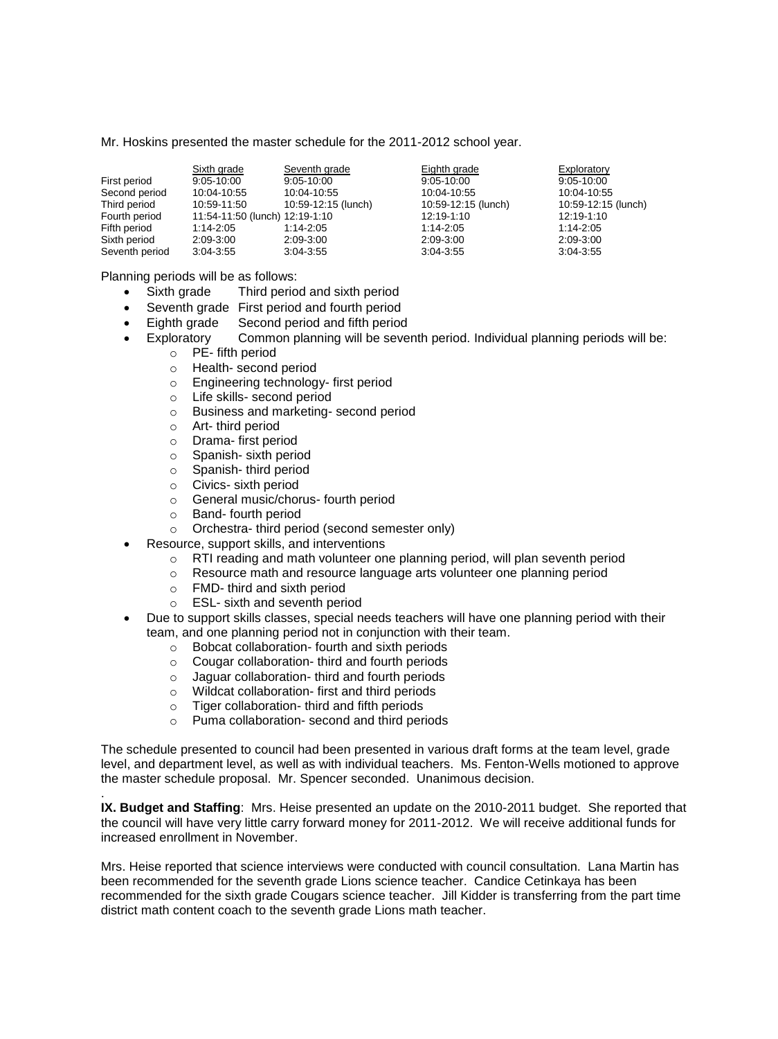Mr. Hoskins presented the master schedule for the 2011-2012 school year.

|                | Sixth grade                    | Seventh grade       | Eighth grade        | Exploratory         |
|----------------|--------------------------------|---------------------|---------------------|---------------------|
| First period   | 9:05-10:00                     | $9:05 - 10:00$      | $9:05 - 10:00$      | $9:05 - 10:00$      |
| Second period  | 10:04-10:55                    | 10:04-10:55         | 10:04-10:55         | 10:04-10:55         |
| Third period   | 10:59-11:50                    | 10:59-12:15 (lunch) | 10:59-12:15 (lunch) | 10:59-12:15 (lunch) |
| Fourth period  | 11:54-11:50 (lunch) 12:19-1:10 |                     | 12:19-1:10          | 12:19-1:10          |
| Fifth period   | 1:14-2:05                      | 1:14-2:05           | 1:14-2:05           | $1:14-2:05$         |
| Sixth period   | 2:09-3:00                      | 2:09-3:00           | 2:09-3:00           | 2:09-3:00           |
| Seventh period | $3:04 - 3:55$                  | $3.04 - 3.55$       | $3.04 - 3.55$       | $3.04 - 3.55$       |

Planning periods will be as follows:

- Sixth grade Third period and sixth period
- Seventh grade First period and fourth period
- Eighth grade Second period and fifth period
- Exploratory Common planning will be seventh period. Individual planning periods will be:
	- o PE- fifth period
		- o Health- second period
		- o Engineering technology- first period
		- o Life skills- second period
		- o Business and marketing- second period
		- o Art- third period
		- o Drama- first period
		- o Spanish- sixth period
		- o Spanish- third period
		- o Civics- sixth period
		- o General music/chorus- fourth period
		- o Band- fourth period

.

- o Orchestra- third period (second semester only)
- Resource, support skills, and interventions
	- o RTI reading and math volunteer one planning period, will plan seventh period
	- o Resource math and resource language arts volunteer one planning period
	- o FMD- third and sixth period
	- o ESL- sixth and seventh period
- Due to support skills classes, special needs teachers will have one planning period with their team, and one planning period not in conjunction with their team.
	- o Bobcat collaboration- fourth and sixth periods
	- o Cougar collaboration- third and fourth periods
	- o Jaguar collaboration- third and fourth periods
	- o Wildcat collaboration- first and third periods
	- o Tiger collaboration- third and fifth periods
	- o Puma collaboration- second and third periods

The schedule presented to council had been presented in various draft forms at the team level, grade level, and department level, as well as with individual teachers. Ms. Fenton-Wells motioned to approve the master schedule proposal. Mr. Spencer seconded. Unanimous decision.

**IX. Budget and Staffing**: Mrs. Heise presented an update on the 2010-2011 budget. She reported that the council will have very little carry forward money for 2011-2012. We will receive additional funds for increased enrollment in November.

Mrs. Heise reported that science interviews were conducted with council consultation. Lana Martin has been recommended for the seventh grade Lions science teacher. Candice Cetinkaya has been recommended for the sixth grade Cougars science teacher. Jill Kidder is transferring from the part time district math content coach to the seventh grade Lions math teacher.